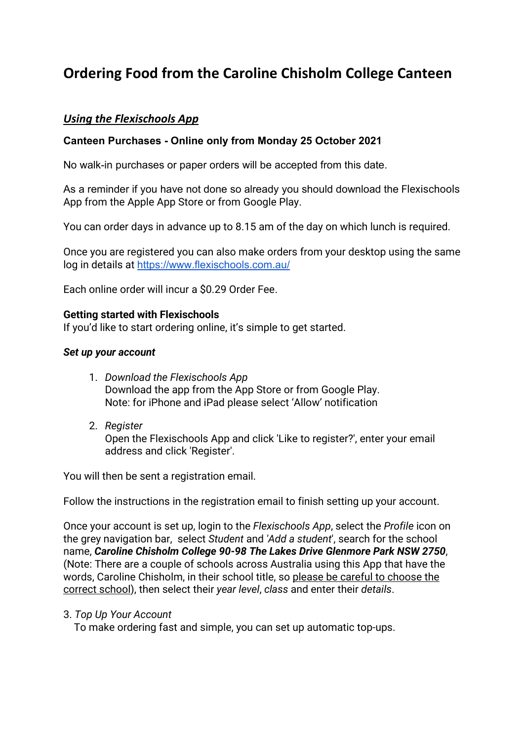# **Ordering Food from the Caroline Chisholm College Canteen**

## *Using the Flexischools App*

## **Canteen Purchases - Online only from Monday 25 October 2021**

No walk-in purchases or paper orders will be accepted from this date.

As a reminder if you have not done so already you should download the Flexischools App from the Apple App Store or from Google Play.

You can order days in advance up to 8.15 am of the day on which lunch is required.

Once you are registered you can also make orders from your desktop using the same log in details at <https://www.flexischools.com.au/>

Each online order will incur a \$0.29 Order Fee.

### **Getting started with Flexischools**

If you'd like to start ordering online, it's simple to get started.

### *Set up your account*

- 1. *Download the Flexischools App* Download the app from the App Store or from Google Play. Note: for iPhone and iPad please select 'Allow' notification
- 2. *Register* Open the Flexischools App and click 'Like to register?', enter your email address and click 'Register'.

You will then be sent a registration email.

Follow the instructions in the registration email to finish setting up your account.

Once your account is set up, login to the *Flexischools App*, select the *Profile* icon on the grey navigation bar, select *Student* and *'Add a student*', search for the school name, *Caroline Chisholm College 90-98 The Lakes Drive Glenmore Park NSW 2750*, (Note: There are a couple of schools across Australia using this App that have the words, Caroline Chisholm, in their school title, so please be careful to choose the correct school), then select their *year level*, *class* and enter their *details*.

#### 3. *Top Up Your Account*

To make ordering fast and simple, you can set up automatic top-ups.